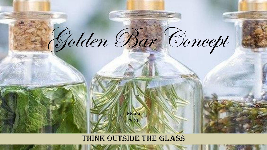

# THINK OUTSIDE THE GLASS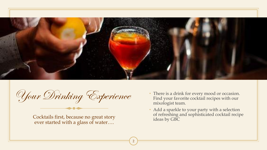

Your Drinking Experience

Cocktails first, because no great story ever started with a glass of water….

- There is a drink for every mood or occasion. Find your favorite cocktail recipes with our mixologist team.
- Add a sparkle to your party with a selection of refreshing and sophisticated cocktail recipe ideas by GBC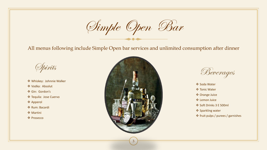Simple Open Bar

All menus following include Simple Open bar services and unlimited consumption after dinner

Spirits

- Whiskey: Johnnie Walker
- Vodka: Absolut
- Gin: Gordon's
- Tequila: Jose Cuervo
- Apperol
- Rum: Bacardi
- **❖ Martini**
- ❖ Prosecco



Beverages

- ❖ Soda Water
- Tonic Water
- Orange Juice
- Lemon Juice
- Soft Drinks 3 Ε 500ml
- ❖ Sparkling water
- $\cdot$  fruit pulps / purees / garnishes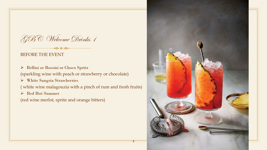GBC Welcome Drinks 1

## BEFORE THE EVENT

 Bellini or Rossini or Choco Spritz (sparkling wine with peach or strawberry or chocolate)

White Sangria Strawberries

( white wine malagouzia with a pinch of rum and fresh fruits)

4

Red Hot Summer

(red wine merlot, sprite and orange bitters)

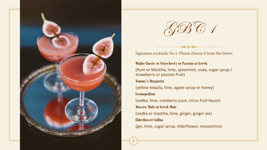



Signature cocktails No.1 Please choose 4 from the below

#### **Mojito Classic or Strawberry or Passion or Greek**

(Rum or Mastiha, lime, spearmint, soda, sugar syrup / strawberry or passion fruit)

## **Tommy's Margarita**

(yellow tequila, lime, agave syrup or honey)

## **Cosmopolitan**

(vodka, lime, cranberry juice, citrus fruit liquor) **Moscow Mule or Greek Mule**

(vodka or mastiha, lime, ginger, ginger ale) **Elderflower Collins**

(gin, lime, sugar syrup, elderflower, maraschino)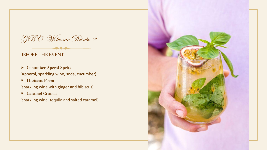GBC Welcome Drinks 2

## BEFORE THE EVENT

 Cucumber Aperol Spritz (Apperol, sparkling wine, soda, cucumber) Hibiscus Poem

(sparkling wine with ginger and hibiscus)

Caramel Crunch

(sparkling wine, tequila and salted caramel)

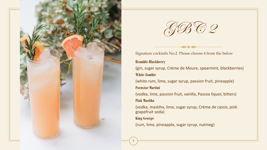



Signature cocktails No.2 Please choose 4 from the below

#### **Bramble Blackberry**

(gin, sugar syrup, Crème de Moure, spearmint, blackberries) **White Zombie**

(white rum, lime, sugar syrup, passion fruit, pineapple) **Pornstar Martini**

(vodka, lime, passion fruit, vanilla, Passoa liquor, bitters) **Pink Mastiha**

(vodka, mastiha, lime, sugar syrup, Crème de cassis, pink grapefruit soda)

## **King George**

7

(rum, lime, pineapple, sugar syrup, nutmeg)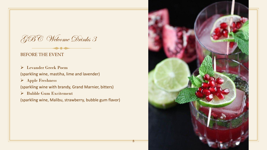GBC Welcome Drinks 3

# BEFORE THE EVENT

- Levander Greek Poem (sparkling wine, mastiha, lime and lavender) Apple Freshness
- (sparkling wine with brandy, Grand Marnier, bitters)
- Bubble Gum Excitement
- (sparkling wine, Malibu, strawberry, bubble gum flavor)

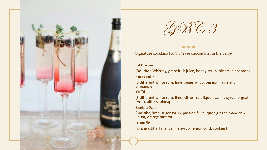



Signature cocktails No.3 Please choose 4 from the below

#### **Old Bourbon**

(Bourbon Whiskey, grapefruit juice, honey syrup, bitters, cinnamon) **Black Zombie**

(3 different white rum, lime, sugar syrup, passion fruits and pineapple)

#### **Mai Tai**

(3 different white rum, lime, citrus fruit liquor, vanilla syrup, orgeat syrup, bitters, pineapple)

#### **Mandarin Sunset**

(mastiha, lime, sugar syrup, passion fruit liquor, ginger, mandarin liquor, orange bitters)

## **Lemon Pie**

(gin, mastiha, lime, vanilla syrup, lemon curd, cookies)